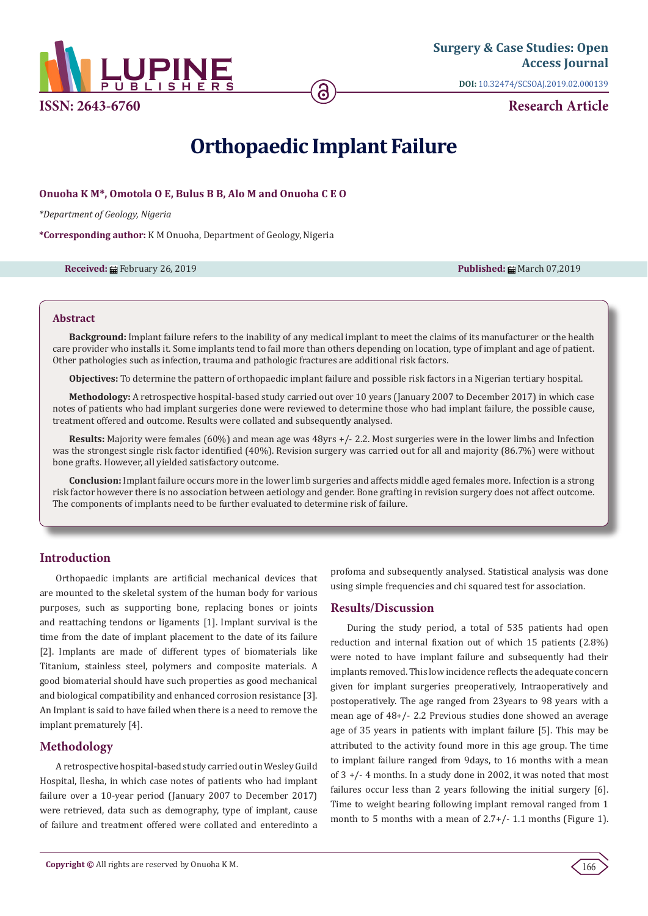

**ISSN: 2643-6760**

**DOI:** [10.32474/SCSOAJ.2019.02.0001](http://dx.doi.org/10.32474/SCSOAJ.2019.02.000139)39

**Research Article**

# **Orthopaedic Implant Failure**

#### **Onuoha K M\*, Omotola O E, Bulus B B, Alo M and Onuoha C E O**

*\*Department of Geology, Nigeria*

**\*Corresponding author:** K M Onuoha, Department of Geology, Nigeria

#### **Received: 曲 February 26, 2019 Published: 曲 March 07,2019 Published: 曲 March 07,2019**

#### **Abstract**

**Background:** Implant failure refers to the inability of any medical implant to meet the claims of its manufacturer or the health care provider who installs it. Some implants tend to fail more than others depending on location, type of implant and age of patient. Other pathologies such as infection, trauma and pathologic fractures are additional risk factors.

**Objectives:** To determine the pattern of orthopaedic implant failure and possible risk factors in a Nigerian tertiary hospital.

**Methodology:** A retrospective hospital-based study carried out over 10 years (January 2007 to December 2017) in which case notes of patients who had implant surgeries done were reviewed to determine those who had implant failure, the possible cause, treatment offered and outcome. Results were collated and subsequently analysed.

**Results:** Majority were females (60%) and mean age was 48yrs +/- 2.2. Most surgeries were in the lower limbs and Infection was the strongest single risk factor identified (40%). Revision surgery was carried out for all and majority (86.7%) were without bone grafts. However, all yielded satisfactory outcome.

**Conclusion:** Implant failure occurs more in the lower limb surgeries and affects middle aged females more. Infection is a strong risk factor however there is no association between aetiology and gender. Bone grafting in revision surgery does not affect outcome. The components of implants need to be further evaluated to determine risk of failure.

# **Introduction**

Orthopaedic implants are artificial mechanical devices that are mounted to the skeletal system of the human body for various purposes, such as supporting bone, replacing bones or joints and reattaching tendons or ligaments [1]. Implant survival is the time from the date of implant placement to the date of its failure [2]. Implants are made of different types of biomaterials like Titanium, stainless steel, polymers and composite materials. A good biomaterial should have such properties as good mechanical and biological compatibility and enhanced corrosion resistance [3]. An Implant is said to have failed when there is a need to remove the implant prematurely [4].

# **Methodology**

A retrospective hospital-based study carried out in Wesley Guild Hospital, Ilesha, in which case notes of patients who had implant failure over a 10-year period (January 2007 to December 2017) were retrieved, data such as demography, type of implant, cause of failure and treatment offered were collated and enteredinto a profoma and subsequently analysed. Statistical analysis was done using simple frequencies and chi squared test for association.

#### **Results/Discussion**

During the study period, a total of 535 patients had open reduction and internal fixation out of which 15 patients (2.8%) were noted to have implant failure and subsequently had their implants removed. This low incidence reflects the adequate concern given for implant surgeries preoperatively, Intraoperatively and postoperatively. The age ranged from 23years to 98 years with a mean age of 48+/- 2.2 Previous studies done showed an average age of 35 years in patients with implant failure [5]. This may be attributed to the activity found more in this age group. The time to implant failure ranged from 9days, to 16 months with a mean of 3 +/- 4 months. In a study done in 2002, it was noted that most failures occur less than 2 years following the initial surgery [6]. Time to weight bearing following implant removal ranged from 1 month to 5 months with a mean of  $2.7+/-1.1$  months (Figure 1).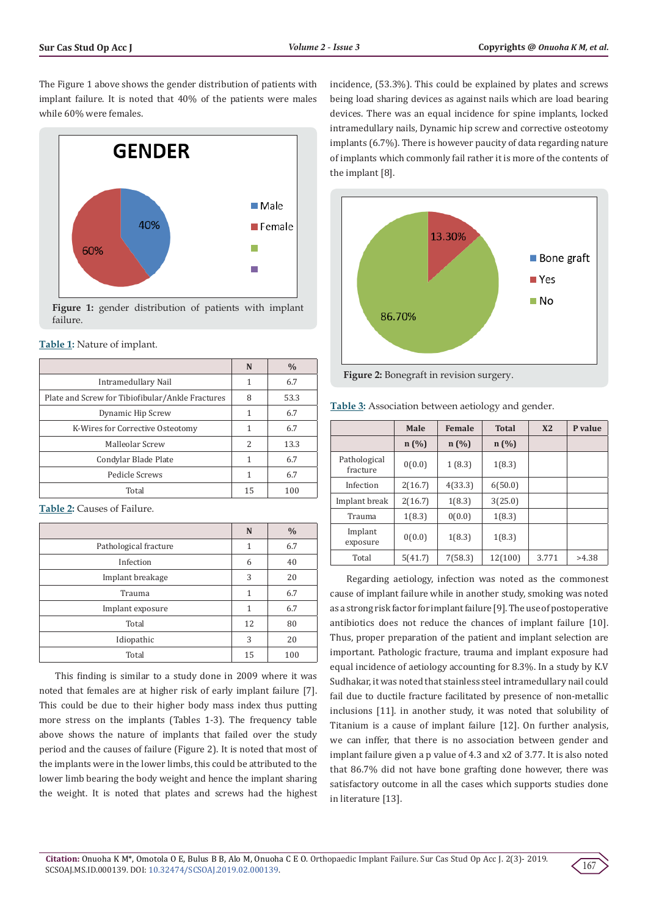The Figure 1 above shows the gender distribution of patients with implant failure. It is noted that 40% of the patients were males while 60% were females.



**Figure 1:** gender distribution of patients with implant failure.

| <b>Table 1:</b> Nature of implant. |
|------------------------------------|
|------------------------------------|

|                                                  | N         | $\frac{0}{0}$ |  |
|--------------------------------------------------|-----------|---------------|--|
| Intramedullary Nail                              | 6.7<br>1  |               |  |
| Plate and Screw for Tibiofibular/Ankle Fractures | 53.3<br>8 |               |  |
| Dynamic Hip Screw                                | 1         | 6.7           |  |
| K-Wires for Corrective Osteotomy                 | 1         |               |  |
| Malleolar Screw                                  | 2         | 13.3          |  |
| Condylar Blade Plate                             | 1         | 6.7           |  |
| Pedicle Screws                                   |           | 6.7           |  |
| Total                                            | 15        | 100           |  |

**Table 2:** Causes of Failure.

|                       | N  | $\frac{0}{0}$ |
|-----------------------|----|---------------|
| Pathological fracture | 1  | 6.7           |
| Infection             | 6  | 40            |
| Implant breakage      | 3  | 20            |
| Trauma                | 1  | 6.7           |
| Implant exposure      | 1  | 6.7           |
| Total                 | 12 | 80            |
| Idiopathic            | 3  | 20            |
| Total                 | 15 | 100           |

This finding is similar to a study done in 2009 where it was noted that females are at higher risk of early implant failure [7]. This could be due to their higher body mass index thus putting more stress on the implants (Tables 1-3). The frequency table above shows the nature of implants that failed over the study period and the causes of failure (Figure 2). It is noted that most of the implants were in the lower limbs, this could be attributed to the lower limb bearing the body weight and hence the implant sharing the weight. It is noted that plates and screws had the highest

incidence, (53.3%). This could be explained by plates and screws being load sharing devices as against nails which are load bearing devices. There was an equal incidence for spine implants, locked intramedullary nails, Dynamic hip screw and corrective osteotomy implants (6.7%). There is however paucity of data regarding nature of implants which commonly fail rather it is more of the contents of the implant [8].



**Figure 2:** Bonegraft in revision surgery.

|                          | Male    | Female  | <b>Total</b> | X <sub>2</sub> | P value |
|--------------------------|---------|---------|--------------|----------------|---------|
|                          | n(%)    | n(%)    | n(%)         |                |         |
| Pathological<br>fracture | 0(0.0)  | 1(8.3)  | 1(8.3)       |                |         |
| Infection                | 2(16.7) | 4(33.3) | 6(50.0)      |                |         |
| Implant break            | 2(16.7) | 1(8.3)  | 3(25.0)      |                |         |
| Trauma                   | 1(8.3)  | 0(0.0)  | 1(8.3)       |                |         |
| Implant<br>exposure      | 0(0.0)  | 1(8.3)  | 1(8.3)       |                |         |
| Total                    | 5(41.7) | 7(58.3) | 12(100)      | 3.771          | >4.38   |

**Table 3:** Association between aetiology and gender.

Regarding aetiology, infection was noted as the commonest cause of implant failure while in another study, smoking was noted as a strong risk factor for implant failure [9]. The use of postoperative antibiotics does not reduce the chances of implant failure [10]. Thus, proper preparation of the patient and implant selection are important. Pathologic fracture, trauma and implant exposure had equal incidence of aetiology accounting for 8.3%. In a study by K.V Sudhakar, it was noted that stainless steel intramedullary nail could fail due to ductile fracture facilitated by presence of non-metallic inclusions [11]. in another study, it was noted that solubility of Titanium is a cause of implant failure [12]. On further analysis, we can inffer, that there is no association between gender and implant failure given a p value of 4.3 and x2 of 3.77. It is also noted that 86.7% did not have bone grafting done however, there was satisfactory outcome in all the cases which supports studies done in literature [13].